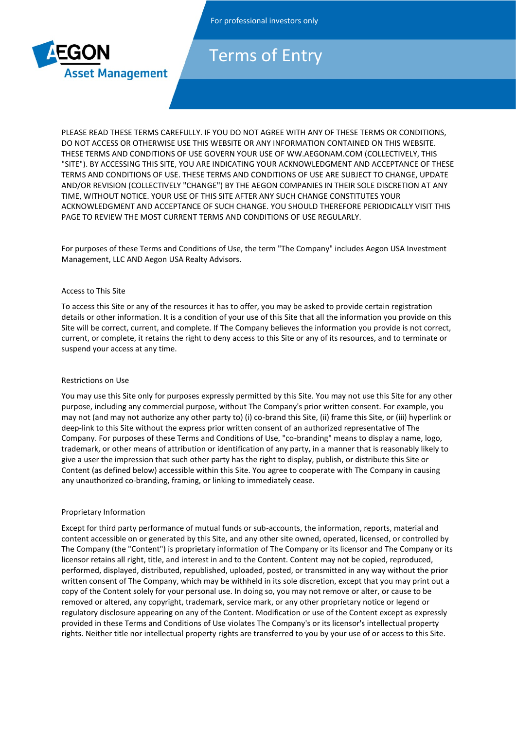

# Terms of Entry

PLEASE READ THESE TERMS CAREFULLY. IF YOU DO NOT AGREE WITH ANY OF THESE TERMS OR CONDITIONS, DO NOT ACCESS OR OTHERWISE USE THIS WEBSITE OR ANY INFORMATION CONTAINED ON THIS WEBSITE. THESE TERMS AND CONDITIONS OF USE GOVERN YOUR USE OF WW.AEGONAM.COM (COLLECTIVELY, THIS "SITE"). BY ACCESSING THIS SITE, YOU ARE INDICATING YOUR ACKNOWLEDGMENT AND ACCEPTANCE OF THESE TERMS AND CONDITIONS OF USE. THESE TERMS AND CONDITIONS OF USE ARE SUBJECT TO CHANGE, UPDATE AND/OR REVISION (COLLECTIVELY "CHANGE") BY THE AEGON COMPANIES IN THEIR SOLE DISCRETION AT ANY TIME, WITHOUT NOTICE. YOUR USE OF THIS SITE AFTER ANY SUCH CHANGE CONSTITUTES YOUR ACKNOWLEDGMENT AND ACCEPTANCE OF SUCH CHANGE. YOU SHOULD THEREFORE PERIODICALLY VISIT THIS PAGE TO REVIEW THE MOST CURRENT TERMS AND CONDITIONS OF USE REGULARLY.

For purposes of these Terms and Conditions of Use, the term "The Company" includes Aegon USA Investment Management, LLC AND Aegon USA Realty Advisors.

#### Access to This Site

To access this Site or any of the resources it has to offer, you may be asked to provide certain registration details or other information. It is a condition of your use of this Site that all the information you provide on this Site will be correct, current, and complete. If The Company believes the information you provide is not correct, current, or complete, it retains the right to deny access to this Site or any of its resources, and to terminate or suspend your access at any time.

#### Restrictions on Use

You may use this Site only for purposes expressly permitted by this Site. You may not use this Site for any other purpose, including any commercial purpose, without The Company's prior written consent. For example, you may not (and may not authorize any other party to) (i) co-brand this Site, (ii) frame this Site, or (iii) hyperlink or deep-link to this Site without the express prior written consent of an authorized representative of The Company. For purposes of these Terms and Conditions of Use, "co-branding" means to display a name, logo, trademark, or other means of attribution or identification of any party, in a manner that is reasonably likely to give a user the impression that such other party has the right to display, publish, or distribute this Site or Content (as defined below) accessible within this Site. You agree to cooperate with The Company in causing any unauthorized co-branding, framing, or linking to immediately cease.

## Proprietary Information

Except for third party performance of mutual funds or sub-accounts, the information, reports, material and content accessible on or generated by this Site, and any other site owned, operated, licensed, or controlled by The Company (the "Content") is proprietary information of The Company or its licensor and The Company or its licensor retains all right, title, and interest in and to the Content. Content may not be copied, reproduced, performed, displayed, distributed, republished, uploaded, posted, or transmitted in any way without the prior written consent of The Company, which may be withheld in its sole discretion, except that you may print out a copy of the Content solely for your personal use. In doing so, you may not remove or alter, or cause to be removed or altered, any copyright, trademark, service mark, or any other proprietary notice or legend or regulatory disclosure appearing on any of the Content. Modification or use of the Content except as expressly provided in these Terms and Conditions of Use violates The Company's or its licensor's intellectual property rights. Neither title nor intellectual property rights are transferred to you by your use of or access to this Site.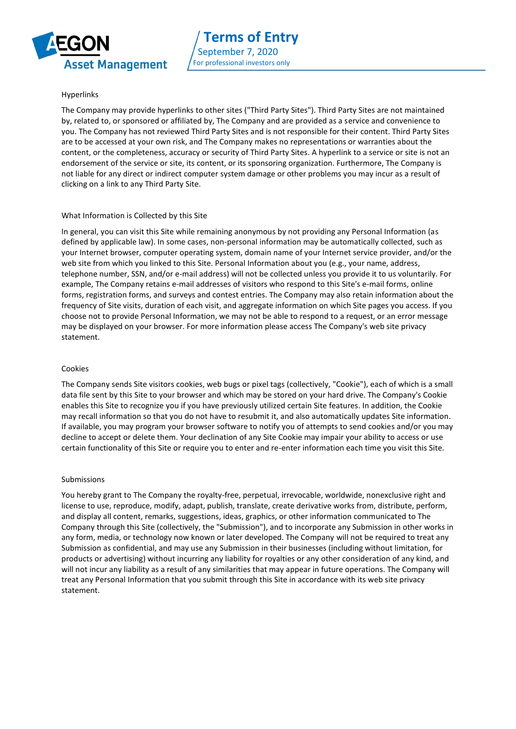

# Hyperlinks

The Company may provide hyperlinks to other sites ("Third Party Sites"). Third Party Sites are not maintained by, related to, or sponsored or affiliated by, The Company and are provided as a service and convenience to you. The Company has not reviewed Third Party Sites and is not responsible for their content. Third Party Sites are to be accessed at your own risk, and The Company makes no representations or warranties about the content, or the completeness, accuracy or security of Third Party Sites. A hyperlink to a service or site is not an endorsement of the service or site, its content, or its sponsoring organization. Furthermore, The Company is not liable for any direct or indirect computer system damage or other problems you may incur as a result of clicking on a link to any Third Party Site.

## What Information is Collected by this Site

In general, you can visit this Site while remaining anonymous by not providing any Personal Information (as defined by applicable law). In some cases, non-personal information may be automatically collected, such as your Internet browser, computer operating system, domain name of your Internet service provider, and/or the web site from which you linked to this Site. Personal Information about you (e.g., your name, address, telephone number, SSN, and/or e-mail address) will not be collected unless you provide it to us voluntarily. For example, The Company retains e-mail addresses of visitors who respond to this Site's e-mail forms, online forms, registration forms, and surveys and contest entries. The Company may also retain information about the frequency of Site visits, duration of each visit, and aggregate information on which Site pages you access. If you choose not to provide Personal Information, we may not be able to respond to a request, or an error message may be displayed on your browser. For more information please access The Company's web site privacy statement.

#### Cookies

The Company sends Site visitors cookies, web bugs or pixel tags (collectively, "Cookie"), each of which is a small data file sent by this Site to your browser and which may be stored on your hard drive. The Company's Cookie enables this Site to recognize you if you have previously utilized certain Site features. In addition, the Cookie may recall information so that you do not have to resubmit it, and also automatically updates Site information. If available, you may program your browser software to notify you of attempts to send cookies and/or you may decline to accept or delete them. Your declination of any Site Cookie may impair your ability to access or use certain functionality of this Site or require you to enter and re-enter information each time you visit this Site.

#### Submissions

You hereby grant to The Company the royalty-free, perpetual, irrevocable, worldwide, nonexclusive right and license to use, reproduce, modify, adapt, publish, translate, create derivative works from, distribute, perform, and display all content, remarks, suggestions, ideas, graphics, or other information communicated to The Company through this Site (collectively, the "Submission"), and to incorporate any Submission in other works in any form, media, or technology now known or later developed. The Company will not be required to treat any Submission as confidential, and may use any Submission in their businesses (including without limitation, for products or advertising) without incurring any liability for royalties or any other consideration of any kind, and will not incur any liability as a result of any similarities that may appear in future operations. The Company will treat any Personal Information that you submit through this Site in accordance with its web site privacy statement.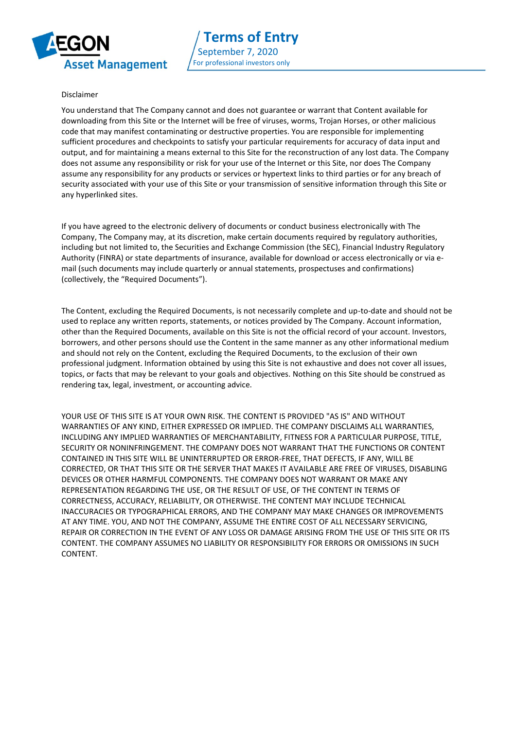

## Disclaimer

You understand that The Company cannot and does not guarantee or warrant that Content available for downloading from this Site or the Internet will be free of viruses, worms, Trojan Horses, or other malicious code that may manifest contaminating or destructive properties. You are responsible for implementing sufficient procedures and checkpoints to satisfy your particular requirements for accuracy of data input and output, and for maintaining a means external to this Site for the reconstruction of any lost data. The Company does not assume any responsibility or risk for your use of the Internet or this Site, nor does The Company assume any responsibility for any products or services or hypertext links to third parties or for any breach of security associated with your use of this Site or your transmission of sensitive information through this Site or any hyperlinked sites.

If you have agreed to the electronic delivery of documents or conduct business electronically with The Company, The Company may, at its discretion, make certain documents required by regulatory authorities, including but not limited to, the Securities and Exchange Commission (the SEC), Financial Industry Regulatory Authority (FINRA) or state departments of insurance, available for download or access electronically or via email (such documents may include quarterly or annual statements, prospectuses and confirmations) (collectively, the "Required Documents").

The Content, excluding the Required Documents, is not necessarily complete and up-to-date and should not be used to replace any written reports, statements, or notices provided by The Company. Account information, other than the Required Documents, available on this Site is not the official record of your account. Investors, borrowers, and other persons should use the Content in the same manner as any other informational medium and should not rely on the Content, excluding the Required Documents, to the exclusion of their own professional judgment. Information obtained by using this Site is not exhaustive and does not cover all issues, topics, or facts that may be relevant to your goals and objectives. Nothing on this Site should be construed as rendering tax, legal, investment, or accounting advice.

YOUR USE OF THIS SITE IS AT YOUR OWN RISK. THE CONTENT IS PROVIDED "AS IS" AND WITHOUT WARRANTIES OF ANY KIND, EITHER EXPRESSED OR IMPLIED. THE COMPANY DISCLAIMS ALL WARRANTIES, INCLUDING ANY IMPLIED WARRANTIES OF MERCHANTABILITY, FITNESS FOR A PARTICULAR PURPOSE, TITLE, SECURITY OR NONINFRINGEMENT. THE COMPANY DOES NOT WARRANT THAT THE FUNCTIONS OR CONTENT CONTAINED IN THIS SITE WILL BE UNINTERRUPTED OR ERROR-FREE, THAT DEFECTS, IF ANY, WILL BE CORRECTED, OR THAT THIS SITE OR THE SERVER THAT MAKES IT AVAILABLE ARE FREE OF VIRUSES, DISABLING DEVICES OR OTHER HARMFUL COMPONENTS. THE COMPANY DOES NOT WARRANT OR MAKE ANY REPRESENTATION REGARDING THE USE, OR THE RESULT OF USE, OF THE CONTENT IN TERMS OF CORRECTNESS, ACCURACY, RELIABILITY, OR OTHERWISE. THE CONTENT MAY INCLUDE TECHNICAL INACCURACIES OR TYPOGRAPHICAL ERRORS, AND THE COMPANY MAY MAKE CHANGES OR IMPROVEMENTS AT ANY TIME. YOU, AND NOT THE COMPANY, ASSUME THE ENTIRE COST OF ALL NECESSARY SERVICING, REPAIR OR CORRECTION IN THE EVENT OF ANY LOSS OR DAMAGE ARISING FROM THE USE OF THIS SITE OR ITS CONTENT. THE COMPANY ASSUMES NO LIABILITY OR RESPONSIBILITY FOR ERRORS OR OMISSIONS IN SUCH CONTENT.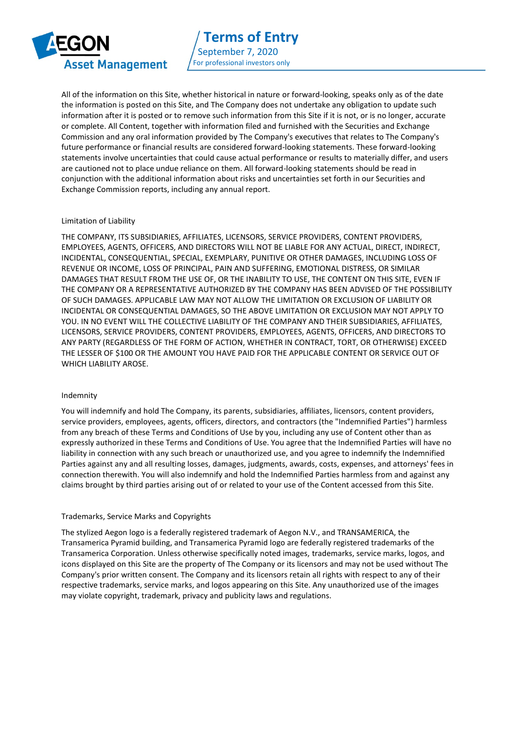

All of the information on this Site, whether historical in nature or forward-looking, speaks only as of the date the information is posted on this Site, and The Company does not undertake any obligation to update such information after it is posted or to remove such information from this Site if it is not, or is no longer, accurate or complete. All Content, together with information filed and furnished with the Securities and Exchange Commission and any oral information provided by The Company's executives that relates to The Company's future performance or financial results are considered forward-looking statements. These forward-looking statements involve uncertainties that could cause actual performance or results to materially differ, and users are cautioned not to place undue reliance on them. All forward-looking statements should be read in conjunction with the additional information about risks and uncertainties set forth in our Securities and Exchange Commission reports, including any annual report.

## Limitation of Liability

THE COMPANY, ITS SUBSIDIARIES, AFFILIATES, LICENSORS, SERVICE PROVIDERS, CONTENT PROVIDERS, EMPLOYEES, AGENTS, OFFICERS, AND DIRECTORS WILL NOT BE LIABLE FOR ANY ACTUAL, DIRECT, INDIRECT, INCIDENTAL, CONSEQUENTIAL, SPECIAL, EXEMPLARY, PUNITIVE OR OTHER DAMAGES, INCLUDING LOSS OF REVENUE OR INCOME, LOSS OF PRINCIPAL, PAIN AND SUFFERING, EMOTIONAL DISTRESS, OR SIMILAR DAMAGES THAT RESULT FROM THE USE OF, OR THE INABILITY TO USE, THE CONTENT ON THIS SITE, EVEN IF THE COMPANY OR A REPRESENTATIVE AUTHORIZED BY THE COMPANY HAS BEEN ADVISED OF THE POSSIBILITY OF SUCH DAMAGES. APPLICABLE LAW MAY NOT ALLOW THE LIMITATION OR EXCLUSION OF LIABILITY OR INCIDENTAL OR CONSEQUENTIAL DAMAGES, SO THE ABOVE LIMITATION OR EXCLUSION MAY NOT APPLY TO YOU. IN NO EVENT WILL THE COLLECTIVE LIABILITY OF THE COMPANY AND THEIR SUBSIDIARIES, AFFILIATES, LICENSORS, SERVICE PROVIDERS, CONTENT PROVIDERS, EMPLOYEES, AGENTS, OFFICERS, AND DIRECTORS TO ANY PARTY (REGARDLESS OF THE FORM OF ACTION, WHETHER IN CONTRACT, TORT, OR OTHERWISE) EXCEED THE LESSER OF \$100 OR THE AMOUNT YOU HAVE PAID FOR THE APPLICABLE CONTENT OR SERVICE OUT OF WHICH LIABILITY AROSE.

#### Indemnity

You will indemnify and hold The Company, its parents, subsidiaries, affiliates, licensors, content providers, service providers, employees, agents, officers, directors, and contractors (the "Indemnified Parties") harmless from any breach of these Terms and Conditions of Use by you, including any use of Content other than as expressly authorized in these Terms and Conditions of Use. You agree that the Indemnified Parties will have no liability in connection with any such breach or unauthorized use, and you agree to indemnify the Indemnified Parties against any and all resulting losses, damages, judgments, awards, costs, expenses, and attorneys' fees in connection therewith. You will also indemnify and hold the Indemnified Parties harmless from and against any claims brought by third parties arising out of or related to your use of the Content accessed from this Site.

#### Trademarks, Service Marks and Copyrights

The stylized Aegon logo is a federally registered trademark of Aegon N.V., and TRANSAMERICA, the Transamerica Pyramid building, and Transamerica Pyramid logo are federally registered trademarks of the Transamerica Corporation. Unless otherwise specifically noted images, trademarks, service marks, logos, and icons displayed on this Site are the property of The Company or its licensors and may not be used without The Company's prior written consent. The Company and its licensors retain all rights with respect to any of their respective trademarks, service marks, and logos appearing on this Site. Any unauthorized use of the images may violate copyright, trademark, privacy and publicity laws and regulations.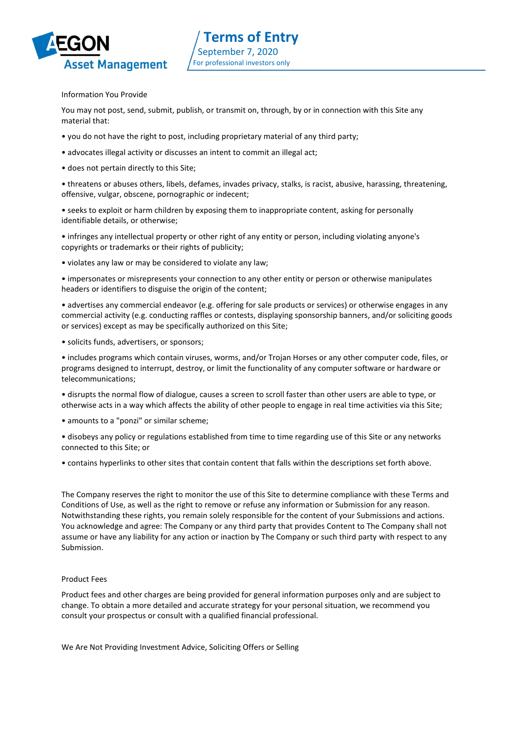

# Information You Provide

You may not post, send, submit, publish, or transmit on, through, by or in connection with this Site any material that:

- you do not have the right to post, including proprietary material of any third party;
- advocates illegal activity or discusses an intent to commit an illegal act;
- does not pertain directly to this Site;

• threatens or abuses others, libels, defames, invades privacy, stalks, is racist, abusive, harassing, threatening, offensive, vulgar, obscene, pornographic or indecent;

• seeks to exploit or harm children by exposing them to inappropriate content, asking for personally identifiable details, or otherwise;

• infringes any intellectual property or other right of any entity or person, including violating anyone's copyrights or trademarks or their rights of publicity;

• violates any law or may be considered to violate any law;

• impersonates or misrepresents your connection to any other entity or person or otherwise manipulates headers or identifiers to disguise the origin of the content;

• advertises any commercial endeavor (e.g. offering for sale products or services) or otherwise engages in any commercial activity (e.g. conducting raffles or contests, displaying sponsorship banners, and/or soliciting goods or services) except as may be specifically authorized on this Site;

• solicits funds, advertisers, or sponsors;

• includes programs which contain viruses, worms, and/or Trojan Horses or any other computer code, files, or programs designed to interrupt, destroy, or limit the functionality of any computer software or hardware or telecommunications;

• disrupts the normal flow of dialogue, causes a screen to scroll faster than other users are able to type, or otherwise acts in a way which affects the ability of other people to engage in real time activities via this Site;

• amounts to a "ponzi" or similar scheme;

• disobeys any policy or regulations established from time to time regarding use of this Site or any networks connected to this Site; or

• contains hyperlinks to other sites that contain content that falls within the descriptions set forth above.

The Company reserves the right to monitor the use of this Site to determine compliance with these Terms and Conditions of Use, as well as the right to remove or refuse any information or Submission for any reason. Notwithstanding these rights, you remain solely responsible for the content of your Submissions and actions. You acknowledge and agree: The Company or any third party that provides Content to The Company shall not assume or have any liability for any action or inaction by The Company or such third party with respect to any Submission.

#### Product Fees

Product fees and other charges are being provided for general information purposes only and are subject to change. To obtain a more detailed and accurate strategy for your personal situation, we recommend you consult your prospectus or consult with a qualified financial professional.

We Are Not Providing Investment Advice, Soliciting Offers or Selling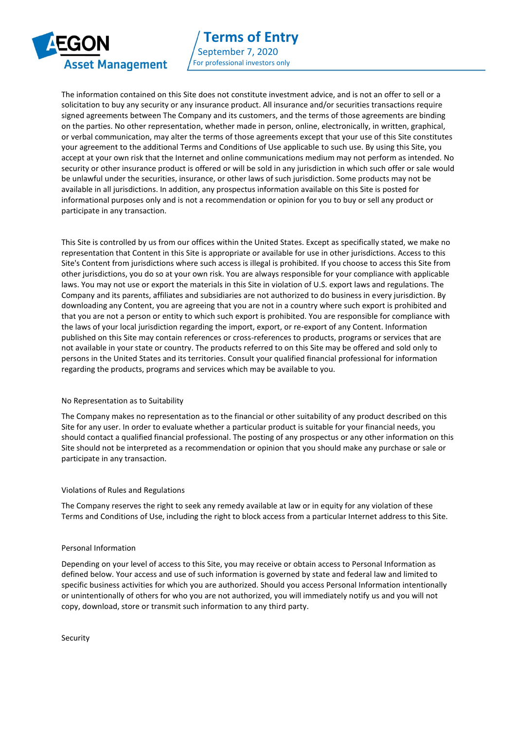

The information contained on this Site does not constitute investment advice, and is not an offer to sell or a solicitation to buy any security or any insurance product. All insurance and/or securities transactions require signed agreements between The Company and its customers, and the terms of those agreements are binding on the parties. No other representation, whether made in person, online, electronically, in written, graphical, or verbal communication, may alter the terms of those agreements except that your use of this Site constitutes your agreement to the additional Terms and Conditions of Use applicable to such use. By using this Site, you accept at your own risk that the Internet and online communications medium may not perform as intended. No security or other insurance product is offered or will be sold in any jurisdiction in which such offer or sale would be unlawful under the securities, insurance, or other laws of such jurisdiction. Some products may not be available in all jurisdictions. In addition, any prospectus information available on this Site is posted for informational purposes only and is not a recommendation or opinion for you to buy or sell any product or participate in any transaction.

This Site is controlled by us from our offices within the United States. Except as specifically stated, we make no representation that Content in this Site is appropriate or available for use in other jurisdictions. Access to this Site's Content from jurisdictions where such access is illegal is prohibited. If you choose to access this Site from other jurisdictions, you do so at your own risk. You are always responsible for your compliance with applicable laws. You may not use or export the materials in this Site in violation of U.S. export laws and regulations. The Company and its parents, affiliates and subsidiaries are not authorized to do business in every jurisdiction. By downloading any Content, you are agreeing that you are not in a country where such export is prohibited and that you are not a person or entity to which such export is prohibited. You are responsible for compliance with the laws of your local jurisdiction regarding the import, export, or re-export of any Content. Information published on this Site may contain references or cross-references to products, programs or services that are not available in your state or country. The products referred to on this Site may be offered and sold only to persons in the United States and its territories. Consult your qualified financial professional for information regarding the products, programs and services which may be available to you.

## No Representation as to Suitability

The Company makes no representation as to the financial or other suitability of any product described on this Site for any user. In order to evaluate whether a particular product is suitable for your financial needs, you should contact a qualified financial professional. The posting of any prospectus or any other information on this Site should not be interpreted as a recommendation or opinion that you should make any purchase or sale or participate in any transaction.

# Violations of Rules and Regulations

The Company reserves the right to seek any remedy available at law or in equity for any violation of these Terms and Conditions of Use, including the right to block access from a particular Internet address to this Site.

## Personal Information

Depending on your level of access to this Site, you may receive or obtain access to Personal Information as defined below. Your access and use of such information is governed by state and federal law and limited to specific business activities for which you are authorized. Should you access Personal Information intentionally or unintentionally of others for who you are not authorized, you will immediately notify us and you will not copy, download, store or transmit such information to any third party.

Security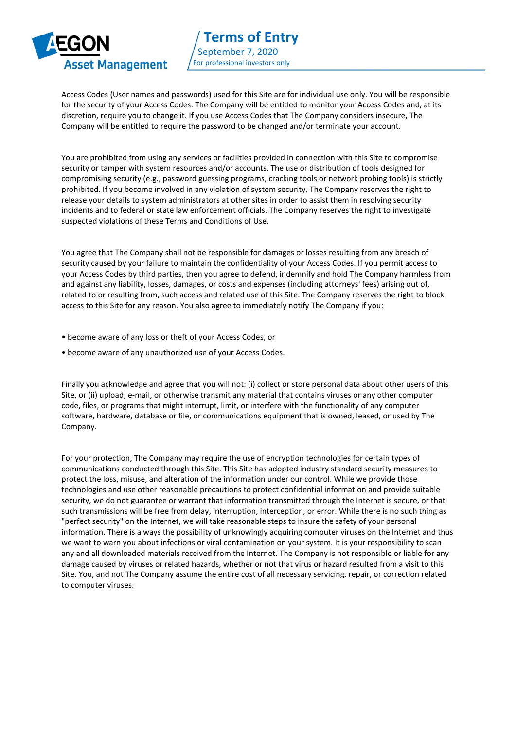

Access Codes (User names and passwords) used for this Site are for individual use only. You will be responsible for the security of your Access Codes. The Company will be entitled to monitor your Access Codes and, at its discretion, require you to change it. If you use Access Codes that The Company considers insecure, The Company will be entitled to require the password to be changed and/or terminate your account.

You are prohibited from using any services or facilities provided in connection with this Site to compromise security or tamper with system resources and/or accounts. The use or distribution of tools designed for compromising security (e.g., password guessing programs, cracking tools or network probing tools) is strictly prohibited. If you become involved in any violation of system security, The Company reserves the right to release your details to system administrators at other sites in order to assist them in resolving security incidents and to federal or state law enforcement officials. The Company reserves the right to investigate suspected violations of these Terms and Conditions of Use.

You agree that The Company shall not be responsible for damages or losses resulting from any breach of security caused by your failure to maintain the confidentiality of your Access Codes. If you permit access to your Access Codes by third parties, then you agree to defend, indemnify and hold The Company harmless from and against any liability, losses, damages, or costs and expenses (including attorneys' fees) arising out of, related to or resulting from, such access and related use of this Site. The Company reserves the right to block access to this Site for any reason. You also agree to immediately notify The Company if you:

- become aware of any loss or theft of your Access Codes, or
- become aware of any unauthorized use of your Access Codes.

Finally you acknowledge and agree that you will not: (i) collect or store personal data about other users of this Site, or (ii) upload, e-mail, or otherwise transmit any material that contains viruses or any other computer code, files, or programs that might interrupt, limit, or interfere with the functionality of any computer software, hardware, database or file, or communications equipment that is owned, leased, or used by The Company.

For your protection, The Company may require the use of encryption technologies for certain types of communications conducted through this Site. This Site has adopted industry standard security measures to protect the loss, misuse, and alteration of the information under our control. While we provide those technologies and use other reasonable precautions to protect confidential information and provide suitable security, we do not guarantee or warrant that information transmitted through the Internet is secure, or that such transmissions will be free from delay, interruption, interception, or error. While there is no such thing as "perfect security" on the Internet, we will take reasonable steps to insure the safety of your personal information. There is always the possibility of unknowingly acquiring computer viruses on the Internet and thus we want to warn you about infections or viral contamination on your system. It is your responsibility to scan any and all downloaded materials received from the Internet. The Company is not responsible or liable for any damage caused by viruses or related hazards, whether or not that virus or hazard resulted from a visit to this Site. You, and not The Company assume the entire cost of all necessary servicing, repair, or correction related to computer viruses.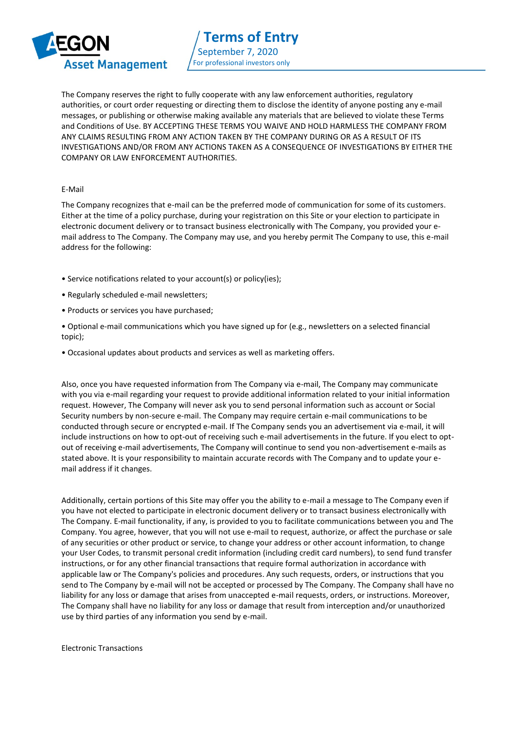

The Company reserves the right to fully cooperate with any law enforcement authorities, regulatory authorities, or court order requesting or directing them to disclose the identity of anyone posting any e-mail messages, or publishing or otherwise making available any materials that are believed to violate these Terms and Conditions of Use. BY ACCEPTING THESE TERMS YOU WAIVE AND HOLD HARMLESS THE COMPANY FROM ANY CLAIMS RESULTING FROM ANY ACTION TAKEN BY THE COMPANY DURING OR AS A RESULT OF ITS INVESTIGATIONS AND/OR FROM ANY ACTIONS TAKEN AS A CONSEQUENCE OF INVESTIGATIONS BY EITHER THE COMPANY OR LAW ENFORCEMENT AUTHORITIES.

## E-Mail

The Company recognizes that e-mail can be the preferred mode of communication for some of its customers. Either at the time of a policy purchase, during your registration on this Site or your election to participate in electronic document delivery or to transact business electronically with The Company, you provided your email address to The Company. The Company may use, and you hereby permit The Company to use, this e-mail address for the following:

- Service notifications related to your account(s) or policy(ies);
- Regularly scheduled e-mail newsletters;
- Products or services you have purchased;
- Optional e-mail communications which you have signed up for (e.g., newsletters on a selected financial topic);
- Occasional updates about products and services as well as marketing offers.

Also, once you have requested information from The Company via e-mail, The Company may communicate with you via e-mail regarding your request to provide additional information related to your initial information request. However, The Company will never ask you to send personal information such as account or Social Security numbers by non-secure e-mail. The Company may require certain e-mail communications to be conducted through secure or encrypted e-mail. If The Company sends you an advertisement via e-mail, it will include instructions on how to opt-out of receiving such e-mail advertisements in the future. If you elect to optout of receiving e-mail advertisements, The Company will continue to send you non-advertisement e-mails as stated above. It is your responsibility to maintain accurate records with The Company and to update your email address if it changes.

Additionally, certain portions of this Site may offer you the ability to e-mail a message to The Company even if you have not elected to participate in electronic document delivery or to transact business electronically with The Company. E-mail functionality, if any, is provided to you to facilitate communications between you and The Company. You agree, however, that you will not use e-mail to request, authorize, or affect the purchase or sale of any securities or other product or service, to change your address or other account information, to change your User Codes, to transmit personal credit information (including credit card numbers), to send fund transfer instructions, or for any other financial transactions that require formal authorization in accordance with applicable law or The Company's policies and procedures. Any such requests, orders, or instructions that you send to The Company by e-mail will not be accepted or processed by The Company. The Company shall have no liability for any loss or damage that arises from unaccepted e-mail requests, orders, or instructions. Moreover, The Company shall have no liability for any loss or damage that result from interception and/or unauthorized use by third parties of any information you send by e-mail.

Electronic Transactions